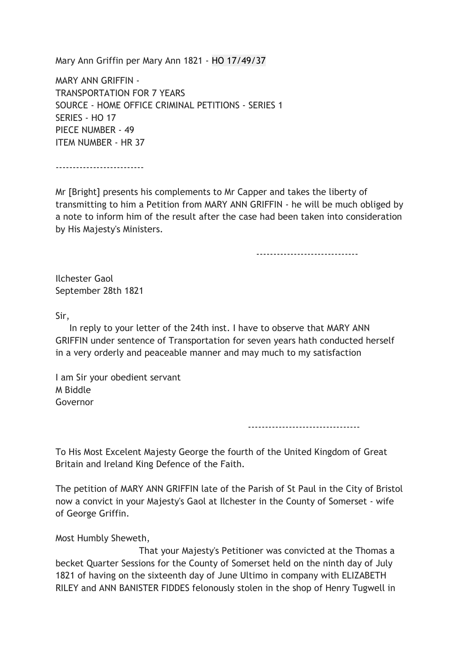Mary Ann Griffin per Mary Ann 1821 - HO 17/49/37

MARY ANN GRIFFIN - TRANSPORTATION FOR 7 YEARS SOURCE - HOME OFFICE CRIMINAL PETITIONS - SERIES 1 SERIES - HO 17 PIECE NUMBER - 49 ITEM NUMBER - HR 37

--------------------------

Mr [Bright] presents his complements to Mr Capper and takes the liberty of transmitting to him a Petition from MARY ANN GRIFFIN - he will be much obliged by a note to inform him of the result after the case had been taken into consideration by His Majesty's Ministers.

------------------------------

Ilchester Gaol September 28th 1821

Sir,

 In reply to your letter of the 24th inst. I have to observe that MARY ANN GRIFFIN under sentence of Transportation for seven years hath conducted herself in a very orderly and peaceable manner and may much to my satisfaction

I am Sir your obedient servant M Biddle Governor

---------------------------------

To His Most Excelent Majesty George the fourth of the United Kingdom of Great Britain and Ireland King Defence of the Faith.

The petition of MARY ANN GRIFFIN late of the Parish of St Paul in the City of Bristol now a convict in your Majesty's Gaol at Ilchester in the County of Somerset - wife of George Griffin.

Most Humbly Sheweth,

 That your Majesty's Petitioner was convicted at the Thomas a becket Quarter Sessions for the County of Somerset held on the ninth day of July 1821 of having on the sixteenth day of June Ultimo in company with ELIZABETH RILEY and ANN BANISTER FIDDES felonously stolen in the shop of Henry Tugwell in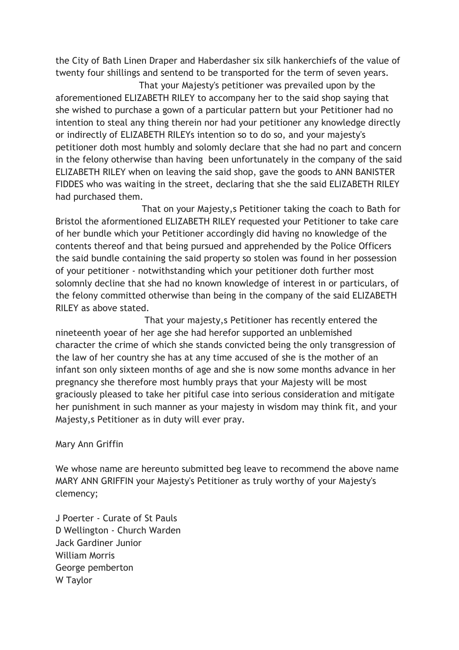the City of Bath Linen Draper and Haberdasher six silk hankerchiefs of the value of twenty four shillings and sentend to be transported for the term of seven years.

 That your Majesty's petitioner was prevailed upon by the aforementioned ELIZABETH RILEY to accompany her to the said shop saying that she wished to purchase a gown of a particular pattern but your Petitioner had no intention to steal any thing therein nor had your petitioner any knowledge directly or indirectly of ELIZABETH RILEYs intention so to do so, and your majesty's petitioner doth most humbly and solomly declare that she had no part and concern in the felony otherwise than having been unfortunately in the company of the said ELIZABETH RILEY when on leaving the said shop, gave the goods to ANN BANISTER FIDDES who was waiting in the street, declaring that she the said ELIZABETH RILEY had purchased them.

 That on your Majesty,s Petitioner taking the coach to Bath for Bristol the aformentioned ELIZABETH RILEY requested your Petitioner to take care of her bundle which your Petitioner accordingly did having no knowledge of the contents thereof and that being pursued and apprehended by the Police Officers the said bundle containing the said property so stolen was found in her possession of your petitioner - notwithstanding which your petitioner doth further most solomnly decline that she had no known knowledge of interest in or particulars, of the felony committed otherwise than being in the company of the said ELIZABETH RILEY as above stated.

 That your majesty,s Petitioner has recently entered the nineteenth yoear of her age she had herefor supported an unblemished character the crime of which she stands convicted being the only transgression of the law of her country she has at any time accused of she is the mother of an infant son only sixteen months of age and she is now some months advance in her pregnancy she therefore most humbly prays that your Majesty will be most graciously pleased to take her pitiful case into serious consideration and mitigate her punishment in such manner as your majesty in wisdom may think fit, and your Majesty,s Petitioner as in duty will ever pray.

## Mary Ann Griffin

We whose name are hereunto submitted beg leave to recommend the above name MARY ANN GRIFFIN your Majesty's Petitioner as truly worthy of your Majesty's clemency;

J Poerter - Curate of St Pauls D Wellington - Church Warden Jack Gardiner Junior William Morris George pemberton W Taylor